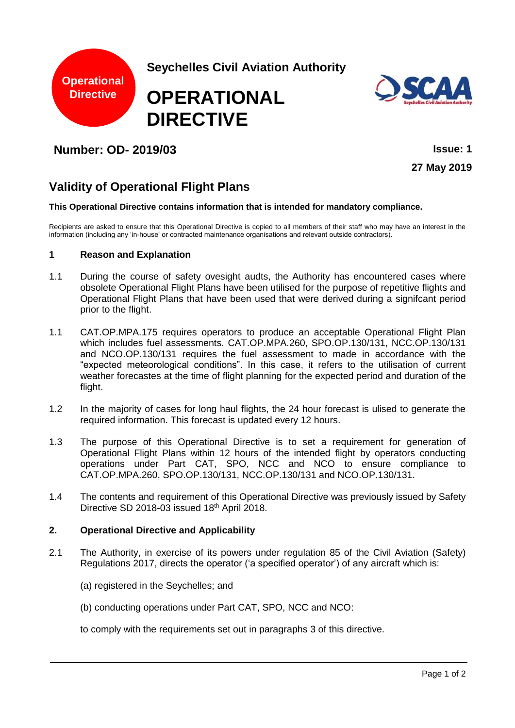

**Seychelles Civil Aviation Authority**

# **OPERATIONAL DIRECTIVE**



# **Number: OD- 2019/03 Issue: 1**

**27 May 2019**

# **Validity of Operational Flight Plans**

#### **This Operational Directive contains information that is intended for mandatory compliance.**

Recipients are asked to ensure that this Operational Directive is copied to all members of their staff who may have an interest in the information (including any 'in-house' or contracted maintenance organisations and relevant outside contractors).

#### **1 Reason and Explanation**

- 1.1 During the course of safety ovesight audts, the Authority has encountered cases where obsolete Operational Flight Plans have been utilised for the purpose of repetitive flights and Operational Flight Plans that have been used that were derived during a signifcant period prior to the flight.
- 1.1 CAT.OP.MPA.175 requires operators to produce an acceptable Operational Flight Plan which includes fuel assessments. CAT.OP.MPA.260, SPO.OP.130/131, NCC.OP.130/131 and NCO.OP.130/131 requires the fuel assessment to made in accordance with the "expected meteorological conditions". In this case, it refers to the utilisation of current weather forecastes at the time of flight planning for the expected period and duration of the flight.
- 1.2 In the majority of cases for long haul flights, the 24 hour forecast is ulised to generate the required information. This forecast is updated every 12 hours.
- 1.3 The purpose of this Operational Directive is to set a requirement for generation of Operational Flight Plans within 12 hours of the intended flight by operators conducting operations under Part CAT, SPO, NCC and NCO to ensure compliance to CAT.OP.MPA.260, SPO.OP.130/131, NCC.OP.130/131 and NCO.OP.130/131.
- 1.4 The contents and requirement of this Operational Directive was previously issued by Safety Directive SD 2018-03 issued 18th April 2018.

## **2. Operational Directive and Applicability**

- 2.1 The Authority, in exercise of its powers under regulation 85 of the Civil Aviation (Safety) Regulations 2017, directs the operator ('a specified operator') of any aircraft which is:
	- (a) registered in the Seychelles; and
	- (b) conducting operations under Part CAT, SPO, NCC and NCO:
	- to comply with the requirements set out in paragraphs 3 of this directive.